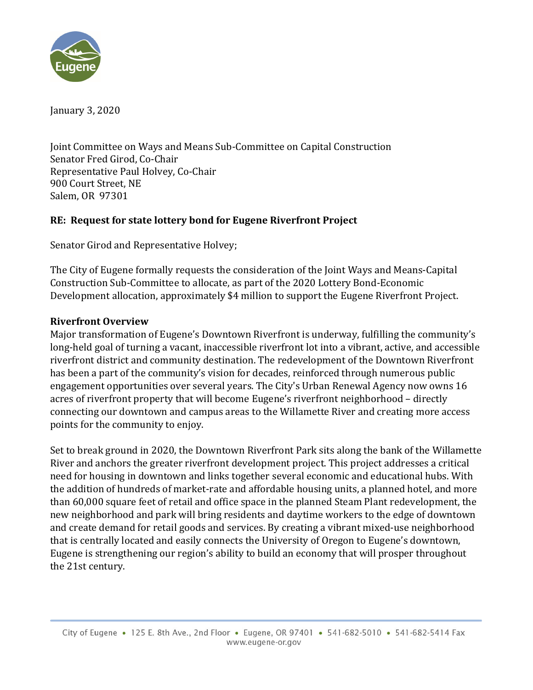

January 3, 2020

Joint Committee on Ways and Means Sub‐Committee on Capital Construction Senator Fred Girod, Co‐Chair Representative Paul Holvey, Co‐Chair 900 Court Street, NE Salem, OR 97301

# **RE: Request for state lottery bond for Eugene Riverfront Project**

Senator Girod and Representative Holvey;

The City of Eugene formally requests the consideration of the Joint Ways and Means‐Capital Construction Sub‐Committee to allocate, as part of the 2020 Lottery Bond‐Economic Development allocation, approximately \$4 million to support the Eugene Riverfront Project. 

### **Riverfront Overview**

Major transformation of Eugene's Downtown Riverfront is underway, fulfilling the community's long-held goal of turning a vacant, inaccessible riverfront lot into a vibrant, active, and accessible riverfront district and community destination. The redevelopment of the Downtown Riverfront has been a part of the community's vision for decades, reinforced through numerous public engagement opportunities over several years. The City's Urban Renewal Agency now owns 16 acres of riverfront property that will become Eugene's riverfront neighborhood – directly connecting our downtown and campus areas to the Willamette River and creating more access points for the community to enjoy. 

Set to break ground in 2020, the Downtown Riverfront Park sits along the bank of the Willamette River and anchors the greater riverfront development project. This project addresses a critical need for housing in downtown and links together several economic and educational hubs. With the addition of hundreds of market‐rate and affordable housing units, a planned hotel, and more than 60,000 square feet of retail and office space in the planned Steam Plant redevelopment, the new neighborhood and park will bring residents and daytime workers to the edge of downtown and create demand for retail goods and services. By creating a vibrant mixed‐use neighborhood that is centrally located and easily connects the University of Oregon to Eugene's downtown, Eugene is strengthening our region's ability to build an economy that will prosper throughout the 21st century.